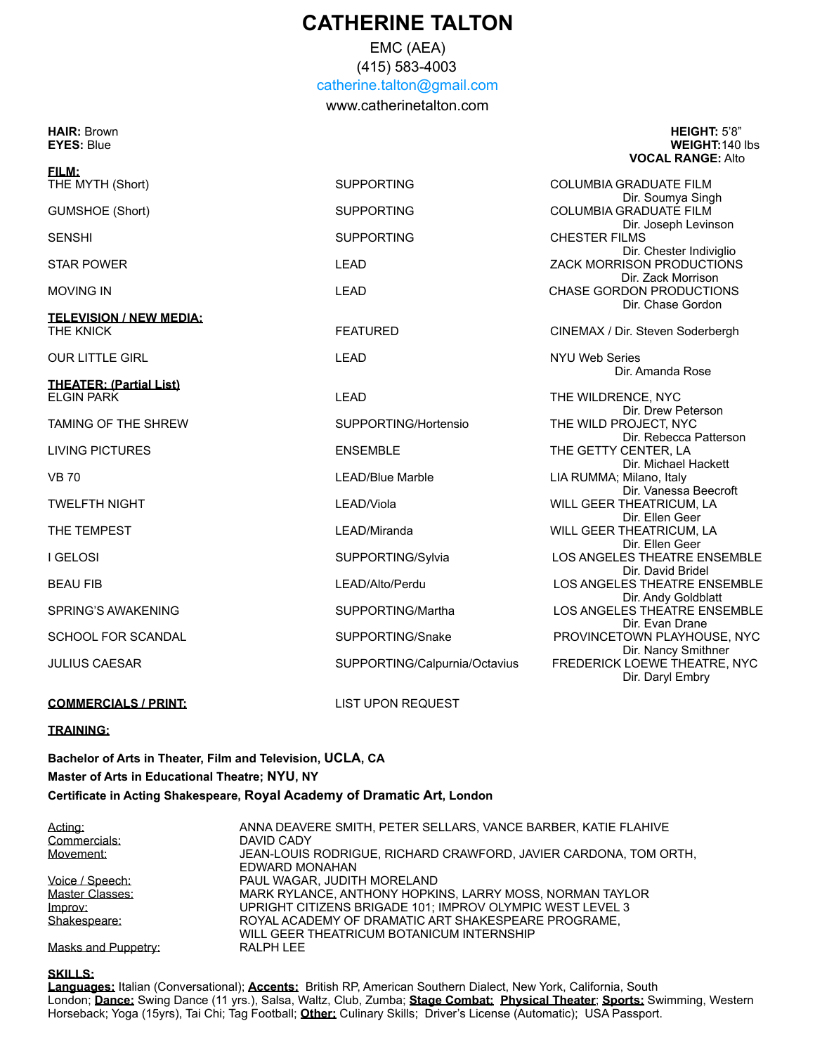## **CATHERINE TALTON**

EMC (AEA)

(415) 583-4003 [catherine.talton@gmail.com](mailto:catherine.talton@gmail.com)

[www.catherinetalton.com](http://www.catherinetalton.com)

#### **HAIR:** Brown **HEIGHT:** 5'8" **EYES:** Blue **WEIGHT:**140 lbs  **VOCAL RANGE:** Alto

| <u>EILM:</u>                                |                               |                                                                            |
|---------------------------------------------|-------------------------------|----------------------------------------------------------------------------|
| THE MYTH (Short)                            | <b>SUPPORTING</b>             | <b>COLUMBIA GRADUATE FILM</b><br>Dir. Soumya Singh                         |
| <b>GUMSHOE (Short)</b>                      | <b>SUPPORTING</b>             | COLUMBIA GRADUATE FILM                                                     |
| <b>SENSHI</b>                               | <b>SUPPORTING</b>             | Dir. Joseph Levinson<br><b>CHESTER FILMS</b>                               |
| <b>STAR POWER</b>                           | <b>LEAD</b>                   | Dir. Chester Indiviglio<br>ZACK MORRISON PRODUCTIONS<br>Dir. Zack Morrison |
| <b>MOVING IN</b>                            | <b>LEAD</b>                   | <b>CHASE GORDON PRODUCTIONS</b><br>Dir. Chase Gordon                       |
|                                             |                               |                                                                            |
| <b>TELEVISION / NEW MEDIA:</b><br>THE KNICK | <b>FEATURED</b>               | CINEMAX / Dir. Steven Soderbergh                                           |
| <b>OUR LITTLE GIRL</b>                      | <b>LEAD</b>                   | <b>NYU Web Series</b>                                                      |
|                                             |                               | Dir. Amanda Rose                                                           |
| <b>THEATER: (Partial List)</b>              |                               |                                                                            |
| <b>ELGIN PARK</b>                           | <b>LEAD</b>                   | THE WILDRENCE, NYC                                                         |
|                                             |                               | Dir. Drew Peterson                                                         |
| <b>TAMING OF THE SHREW</b>                  | SUPPORTING/Hortensio          | THE WILD PROJECT, NYC<br>Dir. Rebecca Patterson                            |
| <b>LIVING PICTURES</b>                      | <b>ENSEMBLE</b>               | THE GETTY CENTER, LA                                                       |
|                                             |                               | Dir. Michael Hackett                                                       |
| <b>VB 70</b>                                | <b>LEAD/Blue Marble</b>       | LIA RUMMA; Milano, Italy                                                   |
|                                             |                               | Dir. Vanessa Beecroft                                                      |
| <b>TWELFTH NIGHT</b>                        | LEAD/Viola                    | WILL GEER THEATRICUM, LA                                                   |
|                                             |                               | Dir. Ellen Geer                                                            |
| THE TEMPEST                                 | LEAD/Miranda                  | WILL GEER THEATRICUM, LA                                                   |
|                                             |                               | Dir. Ellen Geer                                                            |
| <b>I GELOSI</b>                             | SUPPORTING/Sylvia             | LOS ANGELES THEATRE ENSEMBLE                                               |
|                                             |                               | Dir. David Bridel                                                          |
| <b>BEAU FIB</b>                             | LEAD/Alto/Perdu               | LOS ANGELES THEATRE ENSEMBLE                                               |
|                                             |                               | Dir. Andy Goldblatt                                                        |
| <b>SPRING'S AWAKENING</b>                   | SUPPORTING/Martha             | LOS ANGELES THEATRE ENSEMBLE                                               |
|                                             |                               | Dir. Evan Drane                                                            |
| <b>SCHOOL FOR SCANDAL</b>                   | SUPPORTING/Snake              | PROVINCETOWN PLAYHOUSE, NYC                                                |
|                                             |                               | Dir. Nancy Smithner                                                        |
| <b>JULIUS CAESAR</b>                        | SUPPORTING/Calpurnia/Octavius | FREDERICK LOEWE THEATRE, NYC<br>Dir. Daryl Embry                           |
|                                             | <b>LIST UPON REQUEST</b>      |                                                                            |
| <b>COMMERCIALS / PRINT:</b>                 |                               |                                                                            |

### **TRAINING:**

**FILM:**

**Bachelor of Arts in Theater, Film and Television, UCLA, CA Master of Arts in Educational Theatre; NYU, NY Certificate in Acting Shakespeare, Royal Academy of Dramatic Art, London** 

| Acting:             | ANNA DEAVERE SMITH, PETER SELLARS, VANCE BARBER, KATIE FLAHIVE   |
|---------------------|------------------------------------------------------------------|
| Commercials:        | DAVID CADY                                                       |
| Movement:           | JEAN-LOUIS RODRIGUE, RICHARD CRAWFORD, JAVIER CARDONA, TOM ORTH, |
|                     | EDWARD MONAHAN                                                   |
| Voice / Speech:     | PAUL WAGAR, JUDITH MORELAND                                      |
| Master Classes:     | MARK RYLANCE, ANTHONY HOPKINS, LARRY MOSS, NORMAN TAYLOR         |
| Improv:             | UPRIGHT CITIZENS BRIGADE 101: IMPROV OLYMPIC WEST LEVEL 3        |
| Shakespeare:        | ROYAL ACADEMY OF DRAMATIC ART SHAKESPEARE PROGRAME,              |
|                     | WILL GEER THEATRICUM BOTANICUM INTERNSHIP                        |
| Masks and Puppetry: | RALPH LEE                                                        |

#### **SKILLS:**

**Languages:** Italian (Conversational); **Accents:** British RP, American Southern Dialect, New York, California, South London; **Dance:** Swing Dance (11 yrs.), Salsa, Waltz, Club, Zumba; **Stage Combat; Physical Theater**; **Sports:** Swimming, Western Horseback; Yoga (15yrs), Tai Chi; Tag Football; **Other:** Culinary Skills; Driver's License (Automatic); USA Passport.